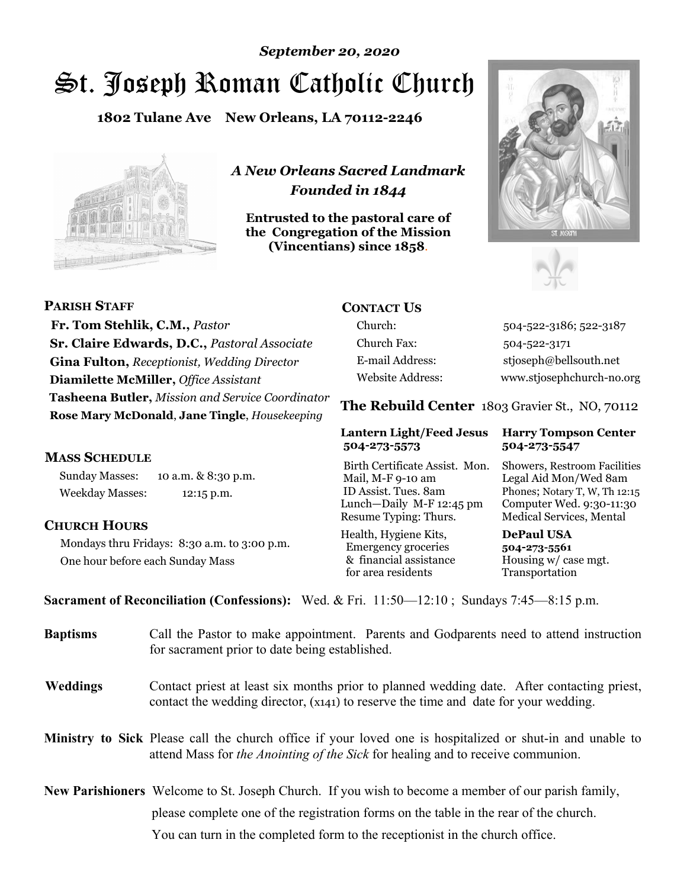# *September 20, 2020*

# St. Joseph Roman Catholic Church

**1802 Tulane Ave New Orleans, LA 70112-2246**



*A New Orleans Sacred Landmark Founded in 1844* 

**Entrusted to the pastoral care of the Congregation of the Mission (Vincentians) since 1858**.





**PARISH STAFF Fr. Tom Stehlik, C.M.,** *Pastor* **Sr. Claire Edwards, D.C.,** *Pastoral Associate* **Gina Fulton,** *Receptionist, Wedding Director* **Diamilette McMiller,** *Office Assistant* **Tasheena Butler,** *Mission and Service Coordinator* **Rose Mary McDonald**, **Jane Tingle**, *Housekeeping* 

#### **MASS SCHEDULE**

Sunday Masses: 10 a.m. & 8:30 p.m. Weekday Masses: 12:15 p.m.

#### **CHURCH HOURS**

Mondays thru Fridays: 8:30 a.m. to 3:00 p.m. One hour before each Sunday Mass

# **CONTACT US**

Church: 504-522-3186; 522-3187 Church Fax: 504-522-3171 E-mail Address: stjoseph@bellsouth.net Website Address: www.stjosephchurch-no.org

**The Rebuild Center** 1803 Gravier St., NO, 70112

#### **Lantern Light/Feed Jesus Harry Tompson Center 504-273-5573 504-273-5547**

Birth Certificate Assist. Mon. Showers, Restroom Facilities Mail, M-F 9-10 am Legal Aid Mon/Wed 8am ID Assist. Tues. 8am Phones; Notary T, W, Th 12:15 Lunch—Daily M-F 12:45 pm Computer Wed. 9:30-11:30 Resume Typing: Thurs. Medical Services, Mental

Health, Hygiene Kits, **DePaul USA**  Emergency groceries **504-273-5561** & financial assistance Housing w/ case mgt. for area residents Transportation

**Sacrament of Reconciliation (Confessions):** Wed. & Fri. 11:50—12:10 ; Sundays 7:45—8:15 p.m.

| <b>Baptisms</b> | Call the Pastor to make appointment. Parents and Godparents need to attend instruction<br>for sacrament prior to date being established.                                                     |  |
|-----------------|----------------------------------------------------------------------------------------------------------------------------------------------------------------------------------------------|--|
| <b>Weddings</b> | Contact priest at least six months prior to planned wedding date. After contacting priest,<br>contact the wedding director, (x141) to reserve the time and date for your wedding.            |  |
|                 | Ministry to Sick Please call the church office if your loved one is hospitalized or shut-in and unable to<br>attend Mass for the Anointing of the Sick for healing and to receive communion. |  |
|                 | New Parishioners Welcome to St. Joseph Church. If you wish to become a member of our parish family,                                                                                          |  |
|                 | please complete one of the registration forms on the table in the rear of the church.                                                                                                        |  |
|                 | You can turn in the completed form to the reception is the church office.                                                                                                                    |  |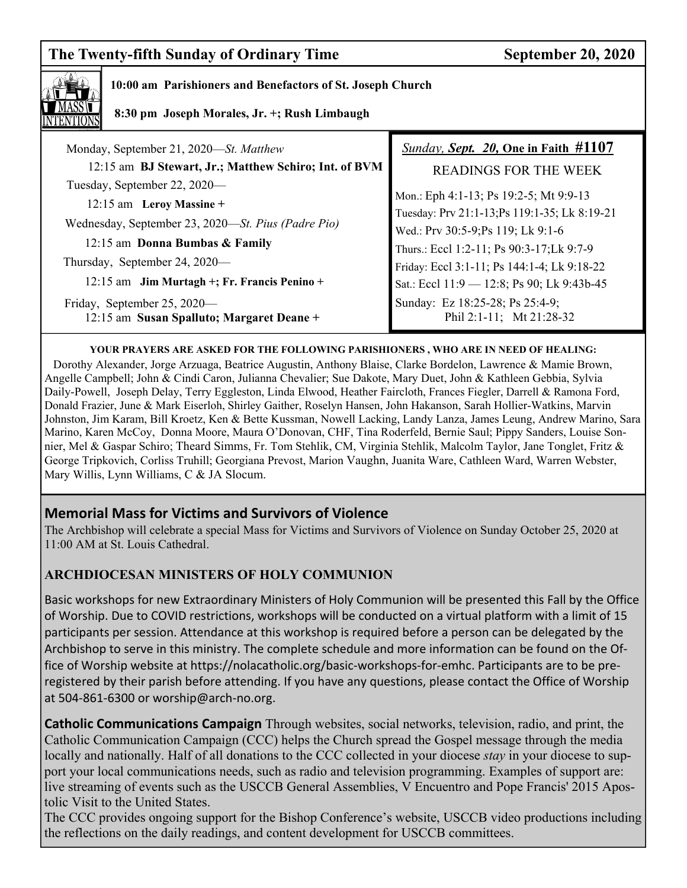# **The Twenty-fifth Sunday of Ordinary Time September 20, 2020**



### **10:00 am Parishioners and Benefactors of St. Joseph Church**

 **8:30 pm Joseph Morales, Jr. +; Rush Limbaugh** 

| Monday, September 21, 2020-St. Matthew                                   | <b>Sunday, Sept. 20, One in Faith #1107</b>                 |
|--------------------------------------------------------------------------|-------------------------------------------------------------|
| 12:15 am BJ Stewart, Jr.; Matthew Schiro; Int. of BVM                    | <b>READINGS FOR THE WEEK</b>                                |
| Tuesday, September 22, 2020—                                             |                                                             |
| 12:15 am Leroy Massine +                                                 | Mon.: Eph 4:1-13; Ps 19:2-5; Mt 9:9-13                      |
|                                                                          | Tuesday: Prv 21:1-13;Ps 119:1-35; Lk 8:19-21                |
| Wednesday, September 23, 2020—St. Pius (Padre Pio)                       | Wed.: Prv 30:5-9;Ps 119; Lk 9:1-6                           |
| 12:15 am Donna Bumbas & Family                                           | Thurs.: Eccl 1:2-11; Ps 90:3-17; Lk 9:7-9                   |
| Thursday, September 24, 2020-                                            | Friday: Eccl 3:1-11; Ps 144:1-4; Lk 9:18-22                 |
| 12:15 am Jim Murtagh +; Fr. Francis Penino +                             | Sat.: Eccl 11:9 - 12:8; Ps 90; Lk 9:43b-45                  |
| Friday, September 25, 2020—<br>12:15 am Susan Spalluto; Margaret Deane + | Sunday: Ez 18:25-28; Ps 25:4-9;<br>Phil 2:1-11; Mt 21:28-32 |

#### **YOUR PRAYERS ARE ASKED FOR THE FOLLOWING PARISHIONERS , WHO ARE IN NEED OF HEALING:**

 Dorothy Alexander, Jorge Arzuaga, Beatrice Augustin, Anthony Blaise, Clarke Bordelon, Lawrence & Mamie Brown, Angelle Campbell; John & Cindi Caron, Julianna Chevalier; Sue Dakote, Mary Duet, John & Kathleen Gebbia, Sylvia Daily-Powell, Joseph Delay, Terry Eggleston, Linda Elwood, Heather Faircloth, Frances Fiegler, Darrell & Ramona Ford, Donald Frazier, June & Mark Eiserloh, Shirley Gaither, Roselyn Hansen, John Hakanson, Sarah Hollier-Watkins, Marvin Johnston, Jim Karam, Bill Kroetz, Ken & Bette Kussman, Nowell Lacking, Landy Lanza, James Leung, Andrew Marino, Sara Marino, Karen McCoy, Donna Moore, Maura O'Donovan, CHF, Tina Roderfeld, Bernie Saul; Pippy Sanders, Louise Sonnier, Mel & Gaspar Schiro; Theard Simms, Fr. Tom Stehlik, CM, Virginia Stehlik, Malcolm Taylor, Jane Tonglet, Fritz & George Tripkovich, Corliss Truhill; Georgiana Prevost, Marion Vaughn, Juanita Ware, Cathleen Ward, Warren Webster, Mary Willis, Lynn Williams, C & JA Slocum.

# **Memorial Mass for Victims and Survivors of Violence**

The Archbishop will celebrate a special Mass for Victims and Survivors of Violence on Sunday October 25, 2020 at 11:00 AM at St. Louis Cathedral.

# **ARCHDIOCESAN MINISTERS OF HOLY COMMUNION**

Basic workshops for new Extraordinary Ministers of Holy Communion will be presented this Fall by the Office of Worship. Due to COVID restrictions, workshops will be conducted on a virtual platform with a limit of 15 participants per session. Attendance at this workshop is required before a person can be delegated by the Archbishop to serve in this ministry. The complete schedule and more information can be found on the Office of Worship website at https://nolacatholic.org/basic-workshops-for-emhc. Participants are to be preregistered by their parish before attending. If you have any questions, please contact the Office of Worship at 504-861-6300 or worship@arch-no.org.

**Catholic Communications Campaign** Through websites, social networks, television, radio, and print, the Catholic Communication Campaign (CCC) helps the Church spread the Gospel message through the media locally and nationally. Half of all donations to the CCC collected in your diocese *stay* in your diocese to support your local communications needs, such as radio and television programming. Examples of support are: live streaming of events such as the USCCB General Assemblies, V Encuentro and Pope Francis' 2015 Apostolic Visit to the United States.

The CCC provides ongoing support for the Bishop Conference's website, USCCB video productions including the reflections on the daily readings, and content development for USCCB committees.